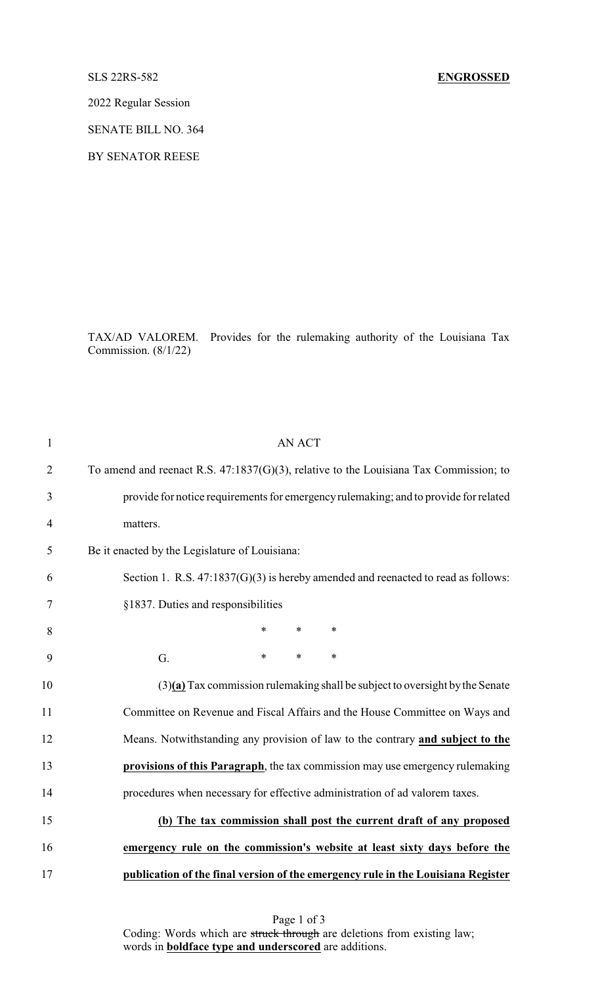## SLS 22RS-582 **ENGROSSED**

2022 Regular Session

SENATE BILL NO. 364

BY SENATOR REESE

TAX/AD VALOREM. Provides for the rulemaking authority of the Louisiana Tax Commission. (8/1/22)

| $\mathbf{1}$   | <b>AN ACT</b>                                                                         |
|----------------|---------------------------------------------------------------------------------------|
| $\overline{2}$ | To amend and reenact R.S. 47:1837(G)(3), relative to the Louisiana Tax Commission; to |
| 3              | provide for notice requirements for emergency rulemaking; and to provide for related  |
| $\overline{4}$ | matters.                                                                              |
| 5              | Be it enacted by the Legislature of Louisiana:                                        |
| 6              | Section 1. R.S. $47:1837(G)(3)$ is hereby amended and reenacted to read as follows:   |
| 7              | §1837. Duties and responsibilities                                                    |
| 8              | $\ast$<br>$\ast$<br>∗                                                                 |
| 9              | $\ast$<br>$\ast$<br>$\ast$<br>G.                                                      |
| 10             | $(3)(a)$ Tax commission rulemaking shall be subject to oversight by the Senate        |
| 11             | Committee on Revenue and Fiscal Affairs and the House Committee on Ways and           |
| 12             | Means. Notwithstanding any provision of law to the contrary and subject to the        |
| 13             | provisions of this Paragraph, the tax commission may use emergency rulemaking         |
| 14             | procedures when necessary for effective administration of ad valorem taxes.           |
| 15             | (b) The tax commission shall post the current draft of any proposed                   |
| 16             | emergency rule on the commission's website at least sixty days before the             |
| 17             | publication of the final version of the emergency rule in the Louisiana Register      |

Page 1 of 3 Coding: Words which are struck through are deletions from existing law; words in **boldface type and underscored** are additions.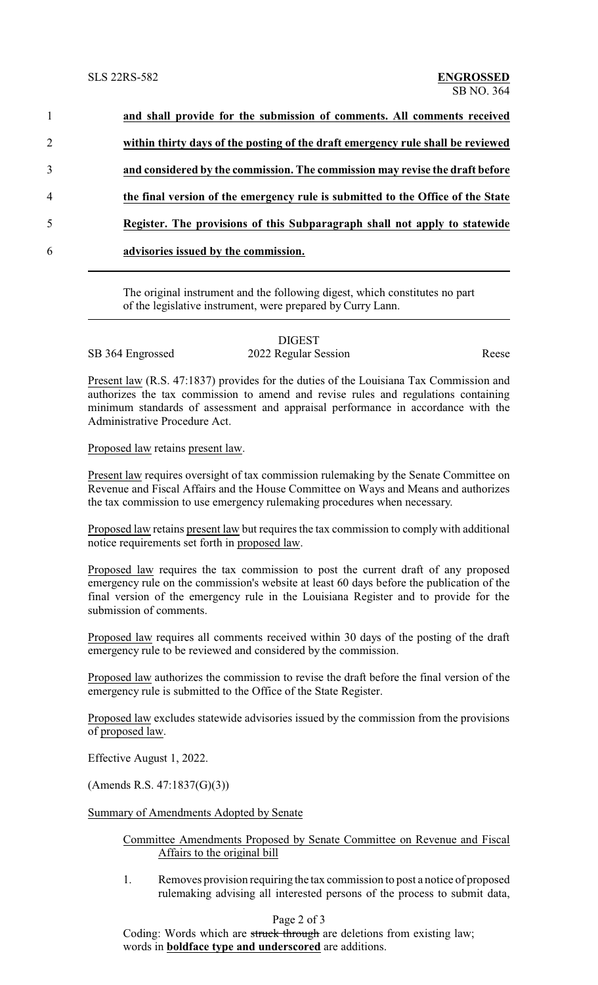|                | and shall provide for the submission of comments. All comments received         |
|----------------|---------------------------------------------------------------------------------|
| $\overline{2}$ | within thirty days of the posting of the draft emergency rule shall be reviewed |
| 3              | and considered by the commission. The commission may revise the draft before    |
| 4              | the final version of the emergency rule is submitted to the Office of the State |
| 5              | Register. The provisions of this Subparagraph shall not apply to statewide      |
| 6              | advisories issued by the commission.                                            |
|                |                                                                                 |

The original instrument and the following digest, which constitutes no part of the legislative instrument, were prepared by Curry Lann.

|                  | <b>DIGEST</b>        |       |
|------------------|----------------------|-------|
| SB 364 Engrossed | 2022 Regular Session | Reese |

Present law (R.S. 47:1837) provides for the duties of the Louisiana Tax Commission and authorizes the tax commission to amend and revise rules and regulations containing minimum standards of assessment and appraisal performance in accordance with the Administrative Procedure Act.

Proposed law retains present law.

Present law requires oversight of tax commission rulemaking by the Senate Committee on Revenue and Fiscal Affairs and the House Committee on Ways and Means and authorizes the tax commission to use emergency rulemaking procedures when necessary.

Proposed law retains present law but requires the tax commission to comply with additional notice requirements set forth in proposed law.

Proposed law requires the tax commission to post the current draft of any proposed emergency rule on the commission's website at least 60 days before the publication of the final version of the emergency rule in the Louisiana Register and to provide for the submission of comments.

Proposed law requires all comments received within 30 days of the posting of the draft emergency rule to be reviewed and considered by the commission.

Proposed law authorizes the commission to revise the draft before the final version of the emergency rule is submitted to the Office of the State Register.

Proposed law excludes statewide advisories issued by the commission from the provisions of proposed law.

Effective August 1, 2022.

(Amends R.S. 47:1837(G)(3))

Summary of Amendments Adopted by Senate

## Committee Amendments Proposed by Senate Committee on Revenue and Fiscal Affairs to the original bill

1. Removes provision requiring the tax commission to post a notice of proposed rulemaking advising all interested persons of the process to submit data,

## Page 2 of 3

Coding: Words which are struck through are deletions from existing law; words in **boldface type and underscored** are additions.